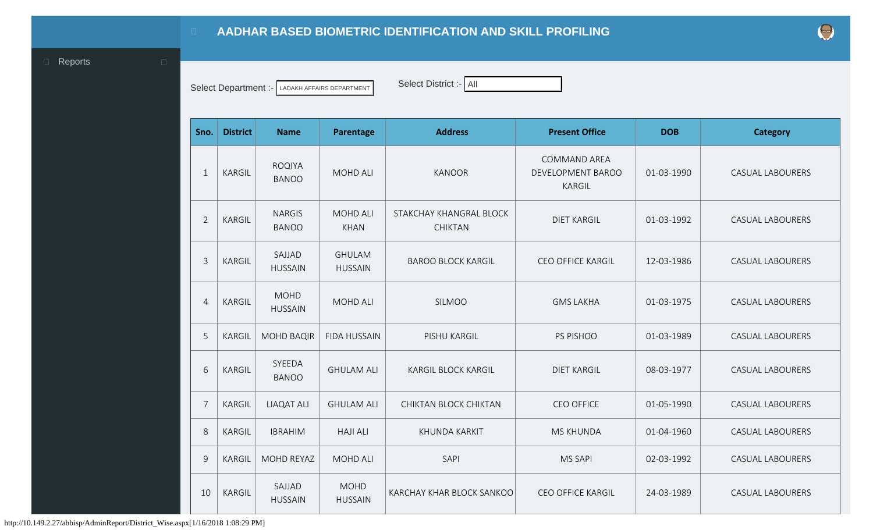## **AADHAR BASED BIOMETRIC IDENTIFICATION AND SKILL PROFILING**

<span id="page-0-0"></span>**Exercise Exercise Exercise Exercise Exercise Exercise Exercise Exercise Exercise Exercise Exercise Exercise** 

Select Department :- LADAKH AFFAIRS DEPARTMENT **Select District :- All** 

| Sno.           | <b>District</b> | <b>Name</b>                   | Parentage                       | <b>Address</b>                            | <b>Present Office</b>                                     | <b>DOB</b> | <b>Category</b>         |
|----------------|-----------------|-------------------------------|---------------------------------|-------------------------------------------|-----------------------------------------------------------|------------|-------------------------|
| $\mathbf{1}$   | <b>KARGIL</b>   | <b>ROQIYA</b><br><b>BANOO</b> | <b>MOHD ALI</b>                 | <b>KANOOR</b>                             | <b>COMMAND AREA</b><br>DEVELOPMENT BAROO<br><b>KARGIL</b> | 01-03-1990 | <b>CASUAL LABOURERS</b> |
| $\overline{2}$ | <b>KARGIL</b>   | <b>NARGIS</b><br><b>BANOO</b> | <b>MOHD ALI</b><br><b>KHAN</b>  | STAKCHAY KHANGRAL BLOCK<br><b>CHIKTAN</b> | <b>DIET KARGIL</b>                                        | 01-03-1992 | <b>CASUAL LABOURERS</b> |
| $\mathsf{3}$   | <b>KARGIL</b>   | SAJJAD<br><b>HUSSAIN</b>      | <b>GHULAM</b><br><b>HUSSAIN</b> | <b>BAROO BLOCK KARGIL</b>                 | <b>CEO OFFICE KARGIL</b>                                  | 12-03-1986 | <b>CASUAL LABOURERS</b> |
| $\overline{4}$ | <b>KARGIL</b>   | <b>MOHD</b><br><b>HUSSAIN</b> | <b>MOHD ALI</b>                 | <b>SILMOO</b>                             | <b>GMS LAKHA</b>                                          | 01-03-1975 | <b>CASUAL LABOURERS</b> |
| 5              | <b>KARGIL</b>   | <b>MOHD BAQIR</b>             | <b>FIDA HUSSAIN</b>             | PISHU KARGIL                              | PS PISHOO                                                 | 01-03-1989 | <b>CASUAL LABOURERS</b> |
| 6              | <b>KARGIL</b>   | SYEEDA<br><b>BANOO</b>        | <b>GHULAM ALI</b>               | <b>KARGIL BLOCK KARGIL</b>                | <b>DIET KARGIL</b>                                        | 08-03-1977 | <b>CASUAL LABOURERS</b> |
| $\overline{7}$ | <b>KARGIL</b>   | <b>LIAQAT ALI</b>             | <b>GHULAM ALI</b>               | CHIKTAN BLOCK CHIKTAN                     | <b>CEO OFFICE</b>                                         | 01-05-1990 | <b>CASUAL LABOURERS</b> |
| 8              | <b>KARGIL</b>   | <b>IBRAHIM</b>                | <b>HAJI ALI</b>                 | KHUNDA KARKIT                             | <b>MS KHUNDA</b>                                          | 01-04-1960 | <b>CASUAL LABOURERS</b> |
| 9              | <b>KARGIL</b>   | MOHD REYAZ                    | <b>MOHD ALI</b>                 | SAPI                                      | <b>MS SAPI</b>                                            | 02-03-1992 | <b>CASUAL LABOURERS</b> |
| 10             | KARGIL          | SAJJAD<br><b>HUSSAIN</b>      | <b>MOHD</b><br><b>HUSSAIN</b>   | KARCHAY KHAR BLOCK SANKOO                 | <b>CEO OFFICE KARGIL</b>                                  | 24-03-1989 | <b>CASUAL LABOURERS</b> |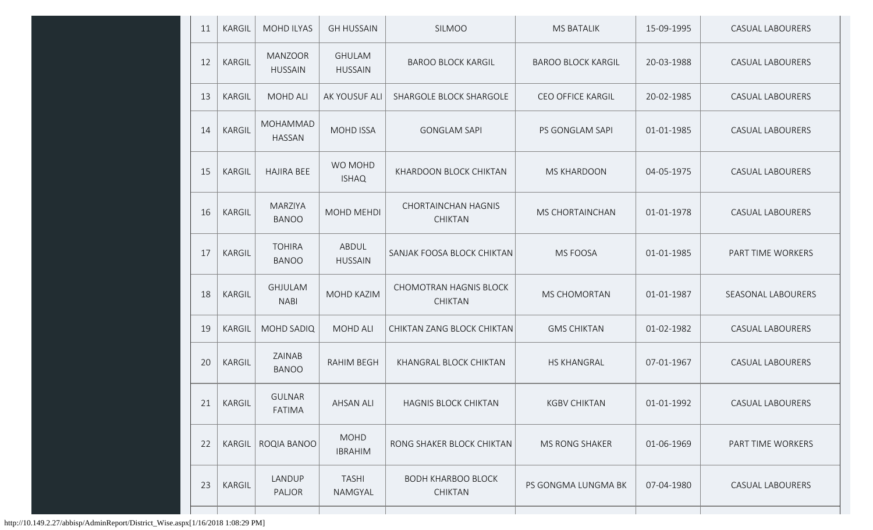| 11 | KARGIL        | <b>MOHD ILYAS</b>                | <b>GH HUSSAIN</b>               | SILMOO                                          | <b>MS BATALIK</b>         | 15-09-1995 | <b>CASUAL LABOURERS</b> |
|----|---------------|----------------------------------|---------------------------------|-------------------------------------------------|---------------------------|------------|-------------------------|
| 12 | KARGIL        | <b>MANZOOR</b><br><b>HUSSAIN</b> | <b>GHULAM</b><br><b>HUSSAIN</b> | <b>BAROO BLOCK KARGIL</b>                       | <b>BAROO BLOCK KARGIL</b> | 20-03-1988 | <b>CASUAL LABOURERS</b> |
| 13 | KARGIL        | <b>MOHD ALI</b>                  | AK YOUSUF ALI                   | SHARGOLE BLOCK SHARGOLE                         | <b>CEO OFFICE KARGIL</b>  | 20-02-1985 | <b>CASUAL LABOURERS</b> |
| 14 | KARGIL        | MOHAMMAD<br><b>HASSAN</b>        | <b>MOHD ISSA</b>                | <b>GONGLAM SAPI</b>                             | PS GONGLAM SAPI           | 01-01-1985 | <b>CASUAL LABOURERS</b> |
| 15 | KARGIL        | <b>HAJIRA BEE</b>                | WO MOHD<br><b>ISHAQ</b>         | KHARDOON BLOCK CHIKTAN                          | <b>MS KHARDOON</b>        | 04-05-1975 | <b>CASUAL LABOURERS</b> |
| 16 | KARGIL        | <b>MARZIYA</b><br><b>BANOO</b>   | MOHD MEHDI                      | <b>CHORTAINCHAN HAGNIS</b><br><b>CHIKTAN</b>    | MS CHORTAINCHAN           | 01-01-1978 | <b>CASUAL LABOURERS</b> |
| 17 | KARGIL        | <b>TOHIRA</b><br><b>BANOO</b>    | ABDUL<br><b>HUSSAIN</b>         | SANJAK FOOSA BLOCK CHIKTAN                      | MS FOOSA                  | 01-01-1985 | PART TIME WORKERS       |
| 18 | <b>KARGIL</b> | <b>GHJULAM</b><br><b>NABI</b>    | MOHD KAZIM                      | <b>CHOMOTRAN HAGNIS BLOCK</b><br><b>CHIKTAN</b> | <b>MS CHOMORTAN</b>       | 01-01-1987 | SEASONAL LABOURERS      |
| 19 | KARGIL        | <b>MOHD SADIQ</b>                | <b>MOHD ALI</b>                 | CHIKTAN ZANG BLOCK CHIKTAN                      | <b>GMS CHIKTAN</b>        | 01-02-1982 | <b>CASUAL LABOURERS</b> |
| 20 | KARGIL        | ZAINAB<br><b>BANOO</b>           | <b>RAHIM BEGH</b>               | KHANGRAL BLOCK CHIKTAN                          | <b>HS KHANGRAL</b>        | 07-01-1967 | <b>CASUAL LABOURERS</b> |
| 21 | KARGIL        | <b>GULNAR</b><br><b>FATIMA</b>   | AHSAN ALI                       | HAGNIS BLOCK CHIKTAN                            | <b>KGBV CHIKTAN</b>       | 01-01-1992 | CASUAL LABOURERS        |
| 22 | KARGIL        | ROQIA BANOO                      | <b>MOHD</b><br><b>IBRAHIM</b>   | RONG SHAKER BLOCK CHIKTAN                       | MS RONG SHAKER            | 01-06-1969 | PART TIME WORKERS       |
| 23 | <b>KARGIL</b> | LANDUP<br>PALJOR                 | <b>TASHI</b><br>NAMGYAL         | <b>BODH KHARBOO BLOCK</b><br><b>CHIKTAN</b>     | PS GONGMA LUNGMA BK       | 07-04-1980 | CASUAL LABOURERS        |
|    |               |                                  |                                 |                                                 |                           |            |                         |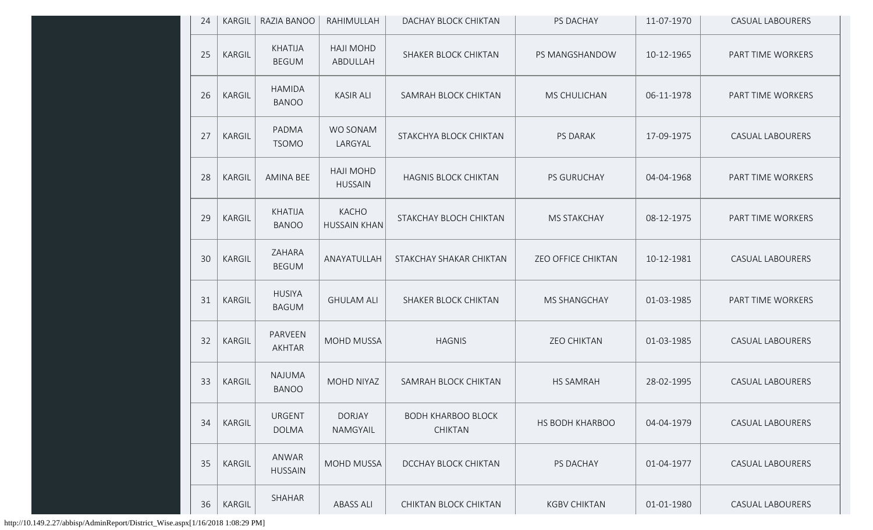| 24 | KARGIL | RAZIA BANOO                    | RAHIMULLAH                         | DACHAY BLOCK CHIKTAN                        | PS DACHAY                 | 11-07-1970 | <b>CASUAL LABOURERS</b> |
|----|--------|--------------------------------|------------------------------------|---------------------------------------------|---------------------------|------------|-------------------------|
| 25 | KARGIL | <b>KHATIJA</b><br><b>BEGUM</b> | <b>HAJI MOHD</b><br>ABDULLAH       | SHAKER BLOCK CHIKTAN                        | PS MANGSHANDOW            | 10-12-1965 | PART TIME WORKERS       |
| 26 | KARGIL | <b>HAMIDA</b><br><b>BANOO</b>  | <b>KASIR ALI</b>                   | SAMRAH BLOCK CHIKTAN                        | MS CHULICHAN              | 06-11-1978 | PART TIME WORKERS       |
| 27 | KARGIL | PADMA<br><b>TSOMO</b>          | WO SONAM<br>LARGYAL                | STAKCHYA BLOCK CHIKTAN                      | PS DARAK                  | 17-09-1975 | <b>CASUAL LABOURERS</b> |
| 28 | KARGIL | AMINA BEE                      | <b>HAJI MOHD</b><br><b>HUSSAIN</b> | <b>HAGNIS BLOCK CHIKTAN</b>                 | PS GURUCHAY               | 04-04-1968 | PART TIME WORKERS       |
| 29 | KARGIL | <b>KHATIJA</b><br><b>BANOO</b> | KACHO<br><b>HUSSAIN KHAN</b>       | STAKCHAY BLOCH CHIKTAN                      | <b>MS STAKCHAY</b>        | 08-12-1975 | PART TIME WORKERS       |
| 30 | KARGIL | ZAHARA<br><b>BEGUM</b>         | ANAYATULLAH                        | STAKCHAY SHAKAR CHIKTAN                     | <b>ZEO OFFICE CHIKTAN</b> | 10-12-1981 | <b>CASUAL LABOURERS</b> |
| 31 | KARGIL | <b>HUSIYA</b><br><b>BAGUM</b>  | <b>GHULAM ALI</b>                  | SHAKER BLOCK CHIKTAN                        | <b>MS SHANGCHAY</b>       | 01-03-1985 | PART TIME WORKERS       |
| 32 | KARGIL | PARVEEN<br>AKHTAR              | MOHD MUSSA                         | <b>HAGNIS</b>                               | <b>ZEO CHIKTAN</b>        | 01-03-1985 | <b>CASUAL LABOURERS</b> |
| 33 | KARGIL | <b>NAJUMA</b><br><b>BANOO</b>  | MOHD NIYAZ                         | SAMRAH BLOCK CHIKTAN                        | <b>HS SAMRAH</b>          | 28-02-1995 | <b>CASUAL LABOURERS</b> |
| 34 | KARGIL | <b>URGENT</b><br><b>DOLMA</b>  | <b>DORJAY</b><br>NAMGYAIL          | <b>BODH KHARBOO BLOCK</b><br><b>CHIKTAN</b> | HS BODH KHARBOO           | 04-04-1979 | <b>CASUAL LABOURERS</b> |
| 35 | KARGIL | ANWAR<br><b>HUSSAIN</b>        | <b>MOHD MUSSA</b>                  | DCCHAY BLOCK CHIKTAN                        | PS DACHAY                 | 01-04-1977 | <b>CASUAL LABOURERS</b> |
| 36 | KARGIL | SHAHAR                         | <b>ABASS ALI</b>                   | CHIKTAN BLOCK CHIKTAN                       | <b>KGBV CHIKTAN</b>       | 01-01-1980 | CASUAL LABOURERS        |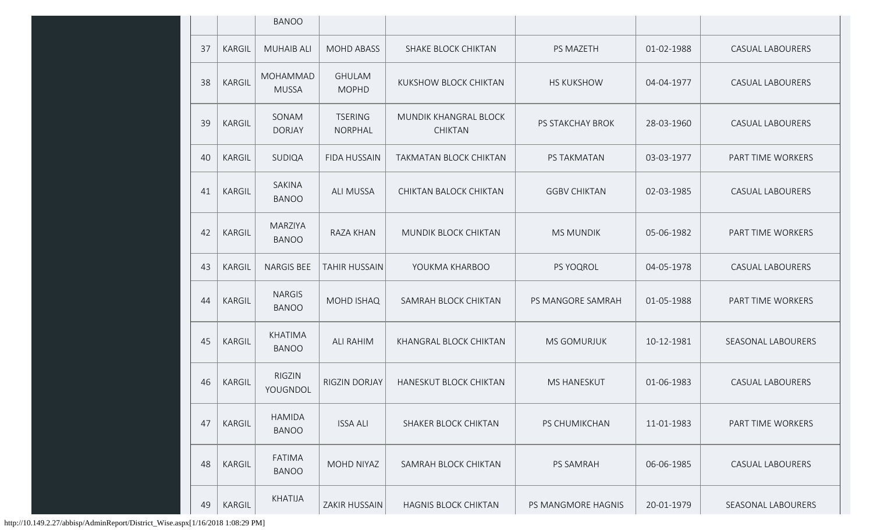|    |               | <b>BANOO</b>                   |                               |                                         |                     |            |                         |
|----|---------------|--------------------------------|-------------------------------|-----------------------------------------|---------------------|------------|-------------------------|
| 37 | KARGIL        | <b>MUHAIB ALI</b>              | <b>MOHD ABASS</b>             | SHAKE BLOCK CHIKTAN                     | PS MAZETH           | 01-02-1988 | <b>CASUAL LABOURERS</b> |
| 38 | KARGIL        | MOHAMMAD<br><b>MUSSA</b>       | <b>GHULAM</b><br><b>MOPHD</b> | KUKSHOW BLOCK CHIKTAN                   | <b>HS KUKSHOW</b>   | 04-04-1977 | <b>CASUAL LABOURERS</b> |
| 39 | KARGIL        | SONAM<br><b>DORJAY</b>         | <b>TSERING</b><br>NORPHAL     | MUNDIK KHANGRAL BLOCK<br><b>CHIKTAN</b> | PS STAKCHAY BROK    | 28-03-1960 | <b>CASUAL LABOURERS</b> |
| 40 | KARGIL        | SUDIQA                         | <b>FIDA HUSSAIN</b>           | TAKMATAN BLOCK CHIKTAN                  | PS TAKMATAN         | 03-03-1977 | PART TIME WORKERS       |
| 41 | KARGIL        | SAKINA<br><b>BANOO</b>         | <b>ALI MUSSA</b>              | CHIKTAN BALOCK CHIKTAN                  | <b>GGBV CHIKTAN</b> | 02-03-1985 | <b>CASUAL LABOURERS</b> |
| 42 | KARGIL        | <b>MARZIYA</b><br><b>BANOO</b> | <b>RAZA KHAN</b>              | MUNDIK BLOCK CHIKTAN                    | <b>MS MUNDIK</b>    | 05-06-1982 | PART TIME WORKERS       |
| 43 | KARGIL        | <b>NARGIS BEE</b>              | TAHIR HUSSAIN                 | YOUKMA KHARBOO                          | PS YOQROL           | 04-05-1978 | <b>CASUAL LABOURERS</b> |
| 44 | KARGIL        | <b>NARGIS</b><br><b>BANOO</b>  | <b>MOHD ISHAQ</b>             | SAMRAH BLOCK CHIKTAN                    | PS MANGORE SAMRAH   | 01-05-1988 | PART TIME WORKERS       |
| 45 | <b>KARGIL</b> | <b>KHATIMA</b><br><b>BANOO</b> | <b>ALI RAHIM</b>              | KHANGRAL BLOCK CHIKTAN                  | <b>MS GOMURJUK</b>  | 10-12-1981 | SEASONAL LABOURERS      |
| 46 | <b>KARGIL</b> | <b>RIGZIN</b><br>YOUGNDOL      | RIGZIN DORJAY                 | HANESKUT BLOCK CHIKTAN                  | <b>MS HANESKUT</b>  | 01-06-1983 | <b>CASUAL LABOURERS</b> |
| 47 | KARGIL        | <b>HAMIDA</b><br><b>BANOO</b>  | <b>ISSA ALI</b>               | SHAKER BLOCK CHIKTAN                    | PS CHUMIKCHAN       | 11-01-1983 | PART TIME WORKERS       |
| 48 | KARGIL        | <b>FATIMA</b><br><b>BANOO</b>  | MOHD NIYAZ                    | SAMRAH BLOCK CHIKTAN                    | <b>PS SAMRAH</b>    | 06-06-1985 | <b>CASUAL LABOURERS</b> |
| 49 | KARGIL        | KHATIJA                        | ZAKIR HUSSAIN                 | <b>HAGNIS BLOCK CHIKTAN</b>             | PS MANGMORE HAGNIS  | 20-01-1979 | SEASONAL LABOURERS      |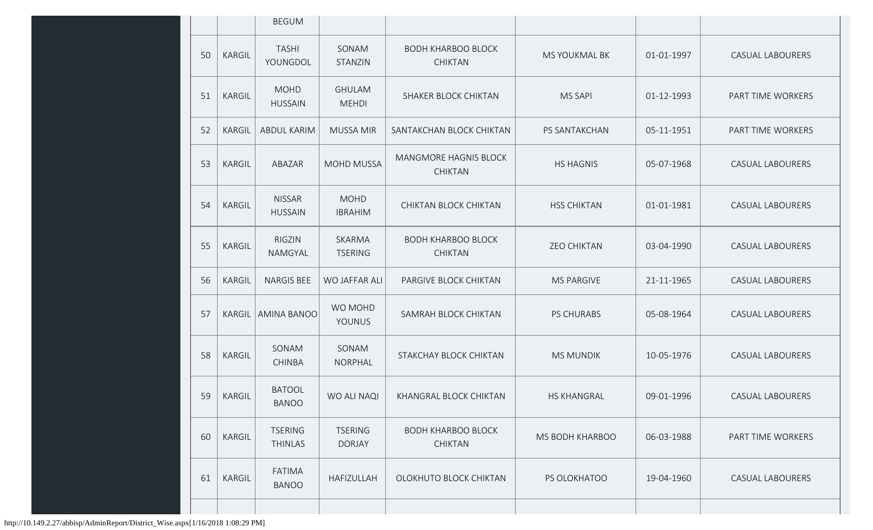|    |               | <b>BEGUM</b>                     |                                 |                                             |                    |            |                         |
|----|---------------|----------------------------------|---------------------------------|---------------------------------------------|--------------------|------------|-------------------------|
| 50 | KARGIL        | <b>TASHI</b><br>YOUNGDOL         | SONAM<br>STANZIN                | <b>BODH KHARBOO BLOCK</b><br><b>CHIKTAN</b> | MS YOUKMAL BK      | 01-01-1997 | <b>CASUAL LABOURERS</b> |
| 51 | KARGIL        | <b>MOHD</b><br><b>HUSSAIN</b>    | <b>GHULAM</b><br><b>MEHDI</b>   | SHAKER BLOCK CHIKTAN                        | <b>MS SAPI</b>     | 01-12-1993 | PART TIME WORKERS       |
| 52 | KARGIL        | <b>ABDUL KARIM</b>               | <b>MUSSA MIR</b>                | SANTAKCHAN BLOCK CHIKTAN                    | PS SANTAKCHAN      | 05-11-1951 | PART TIME WORKERS       |
| 53 | KARGIL        | ABAZAR                           | <b>MOHD MUSSA</b>               | MANGMORE HAGNIS BLOCK<br><b>CHIKTAN</b>     | <b>HS HAGNIS</b>   | 05-07-1968 | <b>CASUAL LABOURERS</b> |
| 54 | KARGIL        | <b>NISSAR</b><br><b>HUSSAIN</b>  | <b>MOHD</b><br><b>IBRAHIM</b>   | CHIKTAN BLOCK CHIKTAN                       | <b>HSS CHIKTAN</b> | 01-01-1981 | <b>CASUAL LABOURERS</b> |
| 55 | KARGIL        | RIGZIN<br>NAMGYAL                | SKARMA<br><b>TSERING</b>        | <b>BODH KHARBOO BLOCK</b><br><b>CHIKTAN</b> | <b>ZEO CHIKTAN</b> | 03-04-1990 | <b>CASUAL LABOURERS</b> |
| 56 | KARGIL        | <b>NARGIS BEE</b>                | WO JAFFAR ALI                   | PARGIVE BLOCK CHIKTAN                       | <b>MS PARGIVE</b>  | 21-11-1965 | <b>CASUAL LABOURERS</b> |
| 57 | <b>KARGIL</b> | <b>AMINA BANOO</b>               | WO MOHD<br>YOUNUS               | SAMRAH BLOCK CHIKTAN                        | <b>PS CHURABS</b>  | 05-08-1964 | <b>CASUAL LABOURERS</b> |
| 58 | KARGIL        | SONAM<br><b>CHINBA</b>           | SONAM<br>NORPHAL                | STAKCHAY BLOCK CHIKTAN                      | <b>MS MUNDIK</b>   | 10-05-1976 | <b>CASUAL LABOURERS</b> |
| 59 | KARGIL        | <b>BATOOL</b><br><b>BANOO</b>    | WO ALI NAQI                     | KHANGRAL BLOCK CHIKTAN                      | <b>HS KHANGRAL</b> | 09-01-1996 | <b>CASUAL LABOURERS</b> |
| 60 | KARGIL        | <b>TSERING</b><br><b>THINLAS</b> | <b>TSERING</b><br><b>DORJAY</b> | <b>BODH KHARBOO BLOCK</b><br><b>CHIKTAN</b> | MS BODH KHARBOO    | 06-03-1988 | PART TIME WORKERS       |
| 61 | KARGIL        | <b>FATIMA</b><br><b>BANOO</b>    | HAFIZULLAH                      | OLOKHUTO BLOCK CHIKTAN                      | PS OLOKHATOO       | 19-04-1960 | <b>CASUAL LABOURERS</b> |
|    |               |                                  |                                 |                                             |                    |            |                         |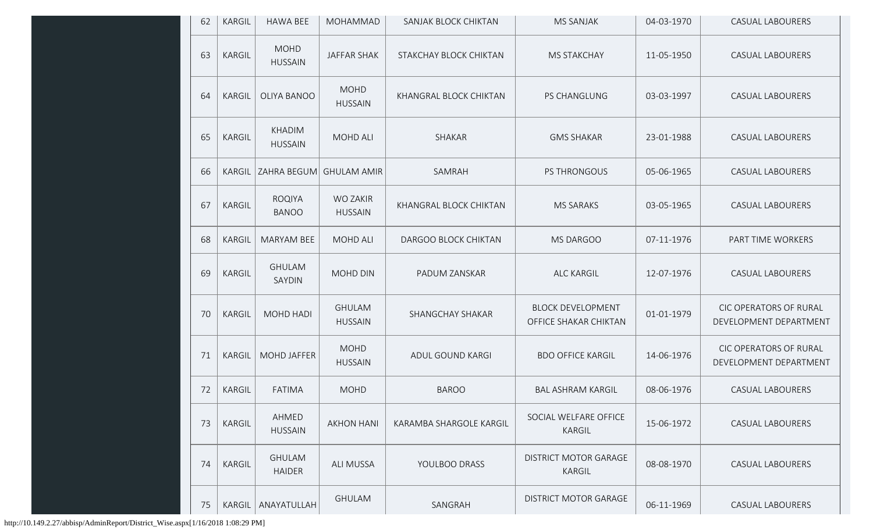| 62 | KARGIL        | <b>HAWA BEE</b>                 | MOHAMMAD                        | SANJAK BLOCK CHIKTAN    | <b>MS SANJAK</b>                                  | 04-03-1970 | CASUAL LABOURERS                                 |
|----|---------------|---------------------------------|---------------------------------|-------------------------|---------------------------------------------------|------------|--------------------------------------------------|
| 63 | KARGIL        | <b>MOHD</b><br><b>HUSSAIN</b>   | <b>JAFFAR SHAK</b>              | STAKCHAY BLOCK CHIKTAN  | <b>MS STAKCHAY</b>                                | 11-05-1950 | <b>CASUAL LABOURERS</b>                          |
| 64 | KARGIL        | OLIYA BANOO                     | <b>MOHD</b><br><b>HUSSAIN</b>   | KHANGRAL BLOCK CHIKTAN  | PS CHANGLUNG                                      | 03-03-1997 | <b>CASUAL LABOURERS</b>                          |
| 65 | KARGIL        | <b>KHADIM</b><br><b>HUSSAIN</b> | <b>MOHD ALI</b>                 | SHAKAR                  | <b>GMS SHAKAR</b>                                 | 23-01-1988 | <b>CASUAL LABOURERS</b>                          |
| 66 | <b>KARGIL</b> | ZAHRA BEGUM                     | <b>GHULAM AMIR</b>              | SAMRAH                  | PS THRONGOUS                                      | 05-06-1965 | <b>CASUAL LABOURERS</b>                          |
| 67 | KARGIL        | <b>ROQIYA</b><br><b>BANOO</b>   | WO ZAKIR<br><b>HUSSAIN</b>      | KHANGRAL BLOCK CHIKTAN  | <b>MS SARAKS</b>                                  | 03-05-1965 | <b>CASUAL LABOURERS</b>                          |
| 68 | KARGIL        | <b>MARYAM BEE</b>               | <b>MOHD ALI</b>                 | DARGOO BLOCK CHIKTAN    | MS DARGOO                                         | 07-11-1976 | PART TIME WORKERS                                |
| 69 | KARGIL        | <b>GHULAM</b><br>SAYDIN         | MOHD DIN                        | PADUM ZANSKAR           | <b>ALC KARGIL</b>                                 | 12-07-1976 | <b>CASUAL LABOURERS</b>                          |
| 70 | KARGIL        | MOHD HADI                       | <b>GHULAM</b><br><b>HUSSAIN</b> | SHANGCHAY SHAKAR        | <b>BLOCK DEVELOPMENT</b><br>OFFICE SHAKAR CHIKTAN | 01-01-1979 | CIC OPERATORS OF RURAL<br>DEVELOPMENT DEPARTMENT |
| 71 | KARGIL        | <b>MOHD JAFFER</b>              | <b>MOHD</b><br><b>HUSSAIN</b>   | ADUL GOUND KARGI        | <b>BDO OFFICE KARGIL</b>                          | 14-06-1976 | CIC OPERATORS OF RURAL<br>DEVELOPMENT DEPARTMENT |
| 72 | KARGIL        | <b>FATIMA</b>                   | <b>MOHD</b>                     | <b>BAROO</b>            | <b>BAL ASHRAM KARGIL</b>                          | 08-06-1976 | <b>CASUAL LABOURERS</b>                          |
| 73 | KARGIL        | AHMED<br><b>HUSSAIN</b>         | <b>AKHON HANI</b>               | KARAMBA SHARGOLE KARGIL | SOCIAL WELFARE OFFICE<br>KARGIL                   | 15-06-1972 | <b>CASUAL LABOURERS</b>                          |
| 74 | KARGIL        | <b>GHULAM</b><br><b>HAIDER</b>  | <b>ALI MUSSA</b>                | YOULBOO DRASS           | <b>DISTRICT MOTOR GARAGE</b><br>KARGIL            | 08-08-1970 | <b>CASUAL LABOURERS</b>                          |
| 75 | KARGIL        | ANAYATULLAH                     | <b>GHULAM</b>                   | SANGRAH                 | <b>DISTRICT MOTOR GARAGE</b>                      | 06-11-1969 | <b>CASUAL LABOURERS</b>                          |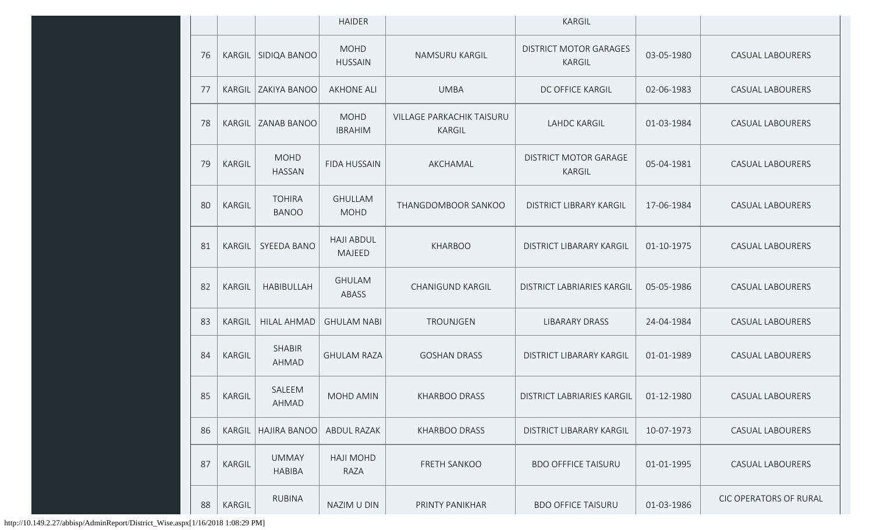|    |               |                               | <b>HAIDER</b>                      |                                            | KARGIL                                  |            |                         |
|----|---------------|-------------------------------|------------------------------------|--------------------------------------------|-----------------------------------------|------------|-------------------------|
| 76 | KARGIL        | SIDIQA BANOO                  | <b>MOHD</b><br><b>HUSSAIN</b>      | NAMSURU KARGIL                             | <b>DISTRICT MOTOR GARAGES</b><br>KARGIL | 03-05-1980 | <b>CASUAL LABOURERS</b> |
| 77 | KARGIL        | ZAKIYA BANOO                  | <b>AKHONE ALI</b>                  | <b>UMBA</b>                                | DC OFFICE KARGIL                        | 02-06-1983 | <b>CASUAL LABOURERS</b> |
| 78 | <b>KARGIL</b> | ZANAB BANOO                   | <b>MOHD</b><br><b>IBRAHIM</b>      | <b>VILLAGE PARKACHIK TAISURU</b><br>KARGIL | <b>LAHDC KARGIL</b>                     | 01-03-1984 | <b>CASUAL LABOURERS</b> |
| 79 | KARGIL        | <b>MOHD</b><br><b>HASSAN</b>  | <b>FIDA HUSSAIN</b>                | AKCHAMAL                                   | <b>DISTRICT MOTOR GARAGE</b><br>KARGIL  | 05-04-1981 | <b>CASUAL LABOURERS</b> |
| 80 | KARGIL        | <b>TOHIRA</b><br><b>BANOO</b> | <b>GHULLAM</b><br><b>MOHD</b>      | THANGDOMBOOR SANKOO                        | DISTRICT LIBRARY KARGIL                 | 17-06-1984 | <b>CASUAL LABOURERS</b> |
| 81 | KARGIL        | SYEEDA BANO                   | <b>HAJI ABDUL</b><br><b>MAJEED</b> | <b>KHARBOO</b>                             | DISTRICT LIBARARY KARGIL                | 01-10-1975 | <b>CASUAL LABOURERS</b> |
| 82 | KARGIL        | <b>HABIBULLAH</b>             | <b>GHULAM</b><br>ABASS             | <b>CHANIGUND KARGIL</b>                    | DISTRICT LABRIARIES KARGIL              | 05-05-1986 | <b>CASUAL LABOURERS</b> |
| 83 | KARGIL        | <b>HILAL AHMAD</b>            | <b>GHULAM NABI</b>                 | <b>TROUNJGEN</b>                           | <b>LIBARARY DRASS</b>                   | 24-04-1984 | <b>CASUAL LABOURERS</b> |
| 84 | KARGIL        | <b>SHABIR</b><br>AHMAD        | <b>GHULAM RAZA</b>                 | <b>GOSHAN DRASS</b>                        | <b>DISTRICT LIBARARY KARGIL</b>         | 01-01-1989 | <b>CASUAL LABOURERS</b> |
| 85 | KARGIL        | SALEEM<br>AHMAD               | MOHD AMIN                          | <b>KHARBOO DRASS</b>                       | <b>DISTRICT LABRIARIES KARGIL</b>       | 01-12-1980 | <b>CASUAL LABOURERS</b> |
| 86 | <b>KARGIL</b> | <b>HAJIRA BANOO</b>           | <b>ABDUL RAZAK</b>                 | <b>KHARBOO DRASS</b>                       | DISTRICT LIBARARY KARGIL                | 10-07-1973 | <b>CASUAL LABOURERS</b> |
| 87 | KARGIL        | <b>UMMAY</b><br><b>HABIBA</b> | <b>HAJI MOHD</b><br>RAZA           | FRETH SANKOO                               | <b>BDO OFFFICE TAISURU</b>              | 01-01-1995 | <b>CASUAL LABOURERS</b> |
| 88 | KARGIL        | <b>RUBINA</b>                 | NAZIM U DIN                        | PRINTY PANIKHAR                            | <b>BDO OFFICE TAISURU</b>               | 01-03-1986 | CIC OPERATORS OF RURAL  |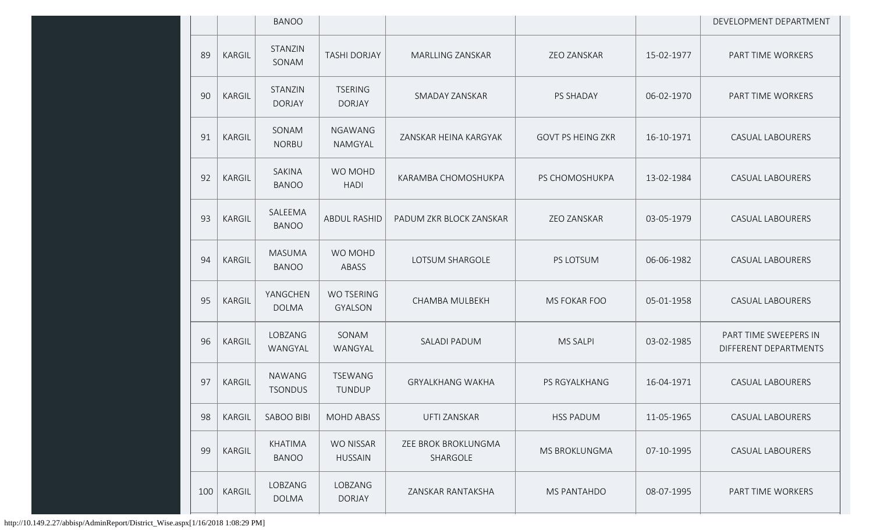|     |               | <b>BANOO</b>                    |                                     |                                 |                          |            | DEVELOPMENT DEPARTMENT                         |
|-----|---------------|---------------------------------|-------------------------------------|---------------------------------|--------------------------|------------|------------------------------------------------|
| 89  | <b>KARGIL</b> | STANZIN<br>SONAM                | <b>TASHI DORJAY</b>                 | <b>MARLLING ZANSKAR</b>         | ZEO ZANSKAR              | 15-02-1977 | PART TIME WORKERS                              |
| 90  | <b>KARGIL</b> | STANZIN<br><b>DORJAY</b>        | <b>TSERING</b><br><b>DORJAY</b>     | SMADAY ZANSKAR                  | <b>PS SHADAY</b>         | 06-02-1970 | PART TIME WORKERS                              |
| 91  | KARGIL        | SONAM<br><b>NORBU</b>           | <b>NGAWANG</b><br>NAMGYAL           | ZANSKAR HEINA KARGYAK           | <b>GOVT PS HEING ZKR</b> | 16-10-1971 | <b>CASUAL LABOURERS</b>                        |
| 92  | KARGIL        | SAKINA<br><b>BANOO</b>          | WO MOHD<br><b>HADI</b>              | KARAMBA CHOMOSHUKPA             | PS CHOMOSHUKPA           | 13-02-1984 | <b>CASUAL LABOURERS</b>                        |
| 93  | <b>KARGIL</b> | SALEEMA<br><b>BANOO</b>         | <b>ABDUL RASHID</b>                 | PADUM ZKR BLOCK ZANSKAR         | ZEO ZANSKAR              | 03-05-1979 | <b>CASUAL LABOURERS</b>                        |
| 94  | <b>KARGIL</b> | <b>MASUMA</b><br><b>BANOO</b>   | WO MOHD<br>ABASS                    | LOTSUM SHARGOLE                 | PS LOTSUM                | 06-06-1982 | <b>CASUAL LABOURERS</b>                        |
| 95  | <b>KARGIL</b> | YANGCHEN<br><b>DOLMA</b>        | <b>WO TSERING</b><br><b>GYALSON</b> | <b>CHAMBA MULBEKH</b>           | <b>MS FOKAR FOO</b>      | 05-01-1958 | <b>CASUAL LABOURERS</b>                        |
| 96  | <b>KARGIL</b> | LOBZANG<br>WANGYAL              | SONAM<br>WANGYAL                    | SALADI PADUM                    | <b>MS SALPI</b>          | 03-02-1985 | PART TIME SWEEPERS IN<br>DIFFERENT DEPARTMENTS |
| 97  | <b>KARGIL</b> | <b>NAWANG</b><br><b>TSONDUS</b> | <b>TSEWANG</b><br>TUNDUP            | <b>GRYALKHANG WAKHA</b>         | PS RGYALKHANG            | 16-04-1971 | <b>CASUAL LABOURERS</b>                        |
| 98  | <b>KARGIL</b> | <b>SABOO BIBI</b>               | <b>MOHD ABASS</b>                   | UFTI ZANSKAR                    | <b>HSS PADUM</b>         | 11-05-1965 | <b>CASUAL LABOURERS</b>                        |
| 99  | <b>KARGIL</b> | <b>KHATIMA</b><br><b>BANOO</b>  | <b>WO NISSAR</b><br><b>HUSSAIN</b>  | ZEE BROK BROKLUNGMA<br>SHARGOLE | MS BROKLUNGMA            | 07-10-1995 | <b>CASUAL LABOURERS</b>                        |
| 100 | <b>KARGIL</b> | LOBZANG<br><b>DOLMA</b>         | LOBZANG<br><b>DORJAY</b>            | ZANSKAR RANTAKSHA               | MS PANTAHDO              | 08-07-1995 | PART TIME WORKERS                              |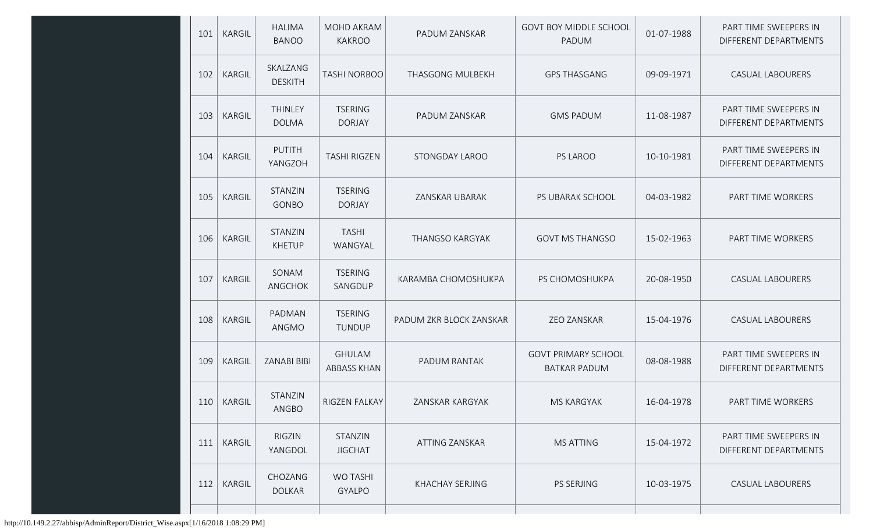| 101 | <b>KARGIL</b> | <b>HALIMA</b><br><b>BANOO</b> | <b>MOHD AKRAM</b><br><b>KAKROO</b>  | PADUM ZANSKAR           | <b>GOVT BOY MIDDLE SCHOOL</b><br>PADUM            | 01-07-1988 | PART TIME SWEEPERS IN<br>DIFFERENT DEPARTMENTS |
|-----|---------------|-------------------------------|-------------------------------------|-------------------------|---------------------------------------------------|------------|------------------------------------------------|
| 102 | KARGIL        | SKALZANG<br><b>DESKITH</b>    | <b>TASHI NORBOO</b>                 | <b>THASGONG MULBEKH</b> | <b>GPS THASGANG</b>                               | 09-09-1971 | <b>CASUAL LABOURERS</b>                        |
| 103 | KARGIL        | THINLEY<br><b>DOLMA</b>       | <b>TSERING</b><br><b>DORJAY</b>     | PADUM ZANSKAR           | <b>GMS PADUM</b>                                  | 11-08-1987 | PART TIME SWEEPERS IN<br>DIFFERENT DEPARTMENTS |
| 104 | <b>KARGIL</b> | <b>PUTITH</b><br>YANGZOH      | <b>TASHI RIGZEN</b>                 | STONGDAY LAROO          | PS LAROO                                          | 10-10-1981 | PART TIME SWEEPERS IN<br>DIFFERENT DEPARTMENTS |
| 105 | <b>KARGIL</b> | STANZIN<br>GONBO              | <b>TSERING</b><br><b>DORJAY</b>     | ZANSKAR UBARAK          | PS UBARAK SCHOOL                                  | 04-03-1982 | PART TIME WORKERS                              |
| 106 | KARGIL        | STANZIN<br><b>KHETUP</b>      | <b>TASHI</b><br>WANGYAL             | THANGSO KARGYAK         | <b>GOVT MS THANGSO</b>                            | 15-02-1963 | PART TIME WORKERS                              |
| 107 | KARGIL        | SONAM<br>ANGCHOK              | <b>TSERING</b><br>SANGDUP           | KARAMBA CHOMOSHUKPA     | PS CHOMOSHUKPA                                    | 20-08-1950 | <b>CASUAL LABOURERS</b>                        |
| 108 | <b>KARGIL</b> | PADMAN<br>ANGMO               | <b>TSERING</b><br><b>TUNDUP</b>     | PADUM ZKR BLOCK ZANSKAR | <b>ZEO ZANSKAR</b>                                | 15-04-1976 | <b>CASUAL LABOURERS</b>                        |
| 109 | <b>KARGIL</b> | ZANABI BIBI                   | <b>GHULAM</b><br><b>ABBASS KHAN</b> | PADUM RANTAK            | <b>GOVT PRIMARY SCHOOL</b><br><b>BATKAR PADUM</b> | 08-08-1988 | PART TIME SWEEPERS IN<br>DIFFERENT DEPARTMENTS |
|     | 110   KARGIL  | STANZIN<br>ANGBO              | RIGZEN FALKAY                       | ZANSKAR KARGYAK         | MS KARGYAK                                        | 16-04-1978 | PART TIME WORKERS                              |
| 111 | <b>KARGIL</b> | RIGZIN<br>YANGDOL             | STANZIN<br><b>JIGCHAT</b>           | ATTING ZANSKAR          | <b>MS ATTING</b>                                  | 15-04-1972 | PART TIME SWEEPERS IN<br>DIFFERENT DEPARTMENTS |
| 112 | <b>KARGIL</b> | CHOZANG<br><b>DOLKAR</b>      | <b>WO TASHI</b><br><b>GYALPO</b>    | KHACHAY SERJING         | PS SERJING                                        | 10-03-1975 | CASUAL LABOURERS                               |
|     |               |                               |                                     |                         |                                                   |            |                                                |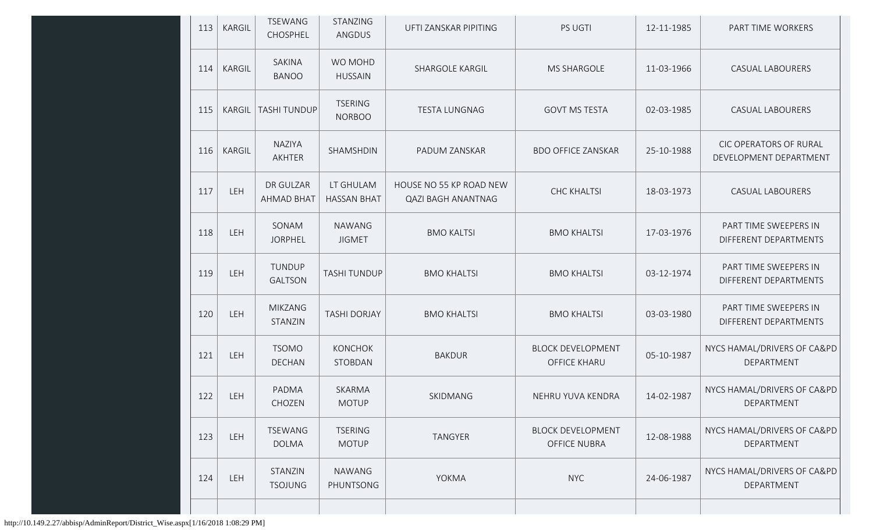| 113 | <b>KARGIL</b> | TSEWANG<br>CHOSPHEL            | <b>STANZING</b><br>ANGDUS       | UFTI ZANSKAR PIPITING                                | <b>PS UGTI</b>                                  | 12-11-1985 | PART TIME WORKERS                                |
|-----|---------------|--------------------------------|---------------------------------|------------------------------------------------------|-------------------------------------------------|------------|--------------------------------------------------|
| 114 | KARGIL        | SAKINA<br><b>BANOO</b>         | WO MOHD<br><b>HUSSAIN</b>       | <b>SHARGOLE KARGIL</b>                               | <b>MS SHARGOLE</b>                              | 11-03-1966 | <b>CASUAL LABOURERS</b>                          |
| 115 | KARGIL        | <b>TASHI TUNDUP</b>            | <b>TSERING</b><br><b>NORBOO</b> | <b>TESTA LUNGNAG</b>                                 | <b>GOVT MS TESTA</b>                            | 02-03-1985 | <b>CASUAL LABOURERS</b>                          |
| 116 | KARGIL        | NAZIYA<br>AKHTER               | SHAMSHDIN                       | PADUM ZANSKAR                                        | <b>BDO OFFICE ZANSKAR</b>                       | 25-10-1988 | CIC OPERATORS OF RURAL<br>DEVELOPMENT DEPARTMENT |
| 117 | LEH           | DR GULZAR<br><b>AHMAD BHAT</b> | LT GHULAM<br><b>HASSAN BHAT</b> | HOUSE NO 55 KP ROAD NEW<br><b>QAZI BAGH ANANTNAG</b> | <b>CHC KHALTSI</b>                              | 18-03-1973 | <b>CASUAL LABOURERS</b>                          |
| 118 | LEH           | SONAM<br><b>JORPHEL</b>        | <b>NAWANG</b><br><b>JIGMET</b>  | <b>BMO KALTSI</b>                                    | <b>BMO KHALTSI</b>                              | 17-03-1976 | PART TIME SWEEPERS IN<br>DIFFERENT DEPARTMENTS   |
| 119 | LEH           | TUNDUP<br><b>GALTSON</b>       | <b>TASHI TUNDUP</b>             | <b>BMO KHALTSI</b>                                   | <b>BMO KHALTSI</b>                              | 03-12-1974 | PART TIME SWEEPERS IN<br>DIFFERENT DEPARTMENTS   |
| 120 | LEH           | <b>MIKZANG</b><br>STANZIN      | <b>TASHI DORJAY</b>             | <b>BMO KHALTSI</b>                                   | <b>BMO KHALTSI</b>                              | 03-03-1980 | PART TIME SWEEPERS IN<br>DIFFERENT DEPARTMENTS   |
| 121 | LEH           | <b>TSOMO</b><br><b>DECHAN</b>  | <b>KONCHOK</b><br>STOBDAN       | <b>BAKDUR</b>                                        | <b>BLOCK DEVELOPMENT</b><br><b>OFFICE KHARU</b> | 05-10-1987 | NYCS HAMAL/DRIVERS OF CA&PD<br>DEPARTMENT        |
| 122 | LEH           | PADMA<br>CHOZEN                | SKARMA<br><b>MOTUP</b>          | SKIDMANG                                             | NEHRU YUVA KENDRA                               | 14-02-1987 | NYCS HAMAL/DRIVERS OF CA&PD<br>DEPARTMENT        |
| 123 | LEH           | TSEWANG<br><b>DOLMA</b>        | <b>TSERING</b><br><b>MOTUP</b>  | TANGYER                                              | <b>BLOCK DEVELOPMENT</b><br><b>OFFICE NUBRA</b> | 12-08-1988 | NYCS HAMAL/DRIVERS OF CA&PD<br>DEPARTMENT        |
| 124 | <b>LEH</b>    | STANZIN<br><b>TSOJUNG</b>      | NAWANG<br>PHUNTSONG             | YOKMA                                                | <b>NYC</b>                                      | 24-06-1987 | NYCS HAMAL/DRIVERS OF CA&PD<br>DEPARTMENT        |
|     |               |                                |                                 |                                                      |                                                 |            |                                                  |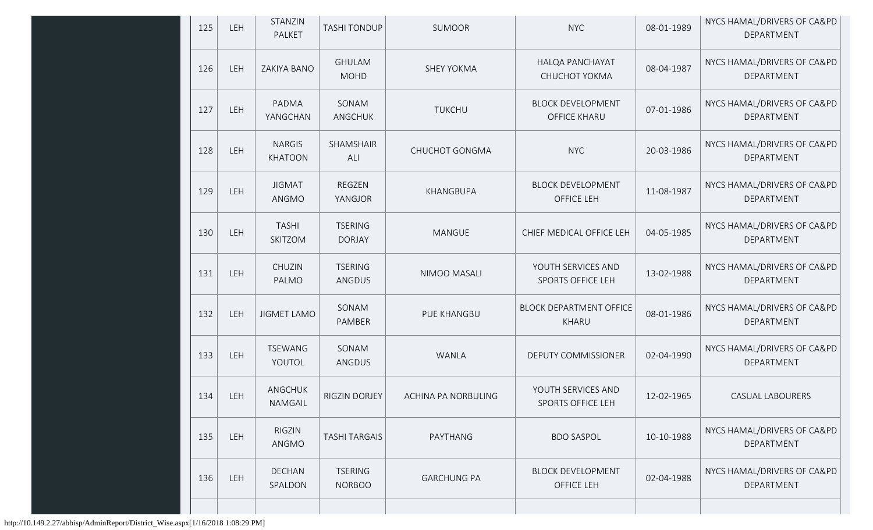| 125 | LEH        | STANZIN<br>PALKET               | <b>TASHI TONDUP</b>             | <b>SUMOOR</b>       | <b>NYC</b>                                      | 08-01-1989 | NYCS HAMAL/DRIVERS OF CA&PD<br>DEPARTMENT |
|-----|------------|---------------------------------|---------------------------------|---------------------|-------------------------------------------------|------------|-------------------------------------------|
| 126 | LEH        | ZAKIYA BANO                     | <b>GHULAM</b><br><b>MOHD</b>    | <b>SHEY YOKMA</b>   | HALQA PANCHAYAT<br>CHUCHOT YOKMA                | 08-04-1987 | NYCS HAMAL/DRIVERS OF CA&PD<br>DEPARTMENT |
| 127 | LEH        | PADMA<br>YANGCHAN               | SONAM<br>ANGCHUK                | <b>TUKCHU</b>       | <b>BLOCK DEVELOPMENT</b><br><b>OFFICE KHARU</b> | 07-01-1986 | NYCS HAMAL/DRIVERS OF CA&PD<br>DEPARTMENT |
| 128 | LEH        | <b>NARGIS</b><br><b>KHATOON</b> | SHAMSHAIR<br>ALI                | CHUCHOT GONGMA      | <b>NYC</b>                                      | 20-03-1986 | NYCS HAMAL/DRIVERS OF CA&PD<br>DEPARTMENT |
| 129 | LEH        | <b>JIGMAT</b><br>ANGMO          | REGZEN<br>YANGJOR               | KHANGBUPA           | <b>BLOCK DEVELOPMENT</b><br>OFFICE LEH          | 11-08-1987 | NYCS HAMAL/DRIVERS OF CA&PD<br>DEPARTMENT |
| 130 | LEH        | <b>TASHI</b><br>SKITZOM         | <b>TSERING</b><br><b>DORJAY</b> | <b>MANGUE</b>       | CHIEF MEDICAL OFFICE LEH                        | 04-05-1985 | NYCS HAMAL/DRIVERS OF CA&PD<br>DEPARTMENT |
| 131 | LEH        | CHUZIN<br>PALMO                 | <b>TSERING</b><br>ANGDUS        | NIMOO MASALI        | YOUTH SERVICES AND<br><b>SPORTS OFFICE LEH</b>  | 13-02-1988 | NYCS HAMAL/DRIVERS OF CA&PD<br>DEPARTMENT |
| 132 | LEH        | <b>JIGMET LAMO</b>              | SONAM<br>PAMBER                 | PUE KHANGBU         | <b>BLOCK DEPARTMENT OFFICE</b><br>KHARU         | 08-01-1986 | NYCS HAMAL/DRIVERS OF CA&PD<br>DEPARTMENT |
| 133 | LEH        | <b>TSEWANG</b><br>YOUTOL        | SONAM<br>ANGDUS                 | WANLA               | DEPUTY COMMISSIONER                             | 02-04-1990 | NYCS HAMAL/DRIVERS OF CA&PD<br>DEPARTMENT |
| 134 | LEH        | ANGCHUK<br>NAMGAIL              | RIGZIN DORJEY                   | ACHINA PA NORBULING | YOUTH SERVICES AND<br>SPORTS OFFICE LEH         | 12-02-1965 | CASUAL LABOURERS                          |
| 135 | <b>LEH</b> | <b>RIGZIN</b><br>ANGMO          | <b>TASHI TARGAIS</b>            | PAYTHANG            | <b>BDO SASPOL</b>                               | 10-10-1988 | NYCS HAMAL/DRIVERS OF CA&PD<br>DEPARTMENT |
| 136 | LEH        | DECHAN<br>SPALDON               | <b>TSERING</b><br><b>NORBOO</b> | <b>GARCHUNG PA</b>  | <b>BLOCK DEVELOPMENT</b><br>OFFICE LEH          | 02-04-1988 | NYCS HAMAL/DRIVERS OF CA&PD<br>DEPARTMENT |
|     |            |                                 |                                 |                     |                                                 |            |                                           |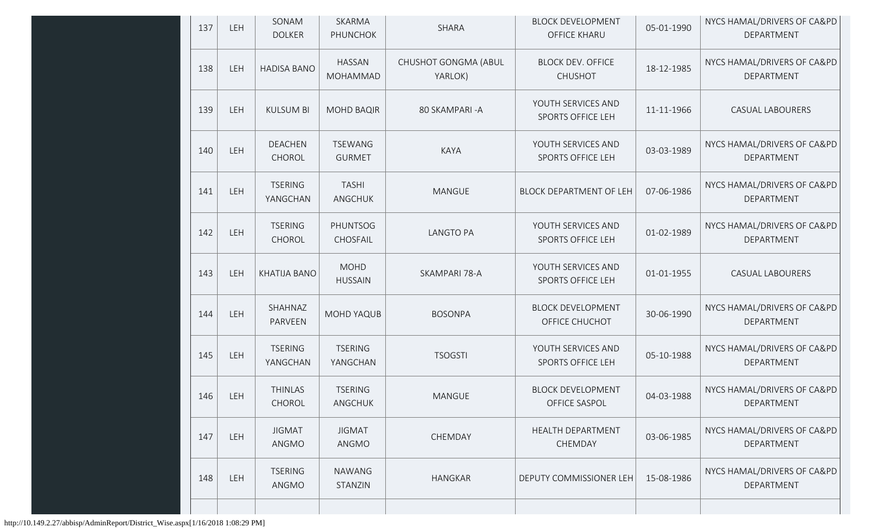| 137 | LEH | SONAM<br><b>DOLKER</b>     | SKARMA<br><b>PHUNCHOK</b>        | <b>SHARA</b>                    | <b>BLOCK DEVELOPMENT</b><br><b>OFFICE KHARU</b> | 05-01-1990 | NYCS HAMAL/DRIVERS OF CA&PD<br>DEPARTMENT |
|-----|-----|----------------------------|----------------------------------|---------------------------------|-------------------------------------------------|------------|-------------------------------------------|
| 138 | LEH | <b>HADISA BANO</b>         | <b>HASSAN</b><br><b>MOHAMMAD</b> | CHUSHOT GONGMA (ABUL<br>YARLOK) | <b>BLOCK DEV. OFFICE</b><br><b>CHUSHOT</b>      | 18-12-1985 | NYCS HAMAL/DRIVERS OF CA&PD<br>DEPARTMENT |
| 139 | LEH | <b>KULSUM BI</b>           | <b>MOHD BAQIR</b>                | 80 SKAMPARI-A                   | YOUTH SERVICES AND<br><b>SPORTS OFFICE LEH</b>  | 11-11-1966 | <b>CASUAL LABOURERS</b>                   |
| 140 | LEH | <b>DEACHEN</b><br>CHOROL   | <b>TSEWANG</b><br><b>GURMET</b>  | KAYA                            | YOUTH SERVICES AND<br><b>SPORTS OFFICE LEH</b>  | 03-03-1989 | NYCS HAMAL/DRIVERS OF CA&PD<br>DEPARTMENT |
| 141 | LEH | <b>TSERING</b><br>YANGCHAN | <b>TASHI</b><br>ANGCHUK          | MANGUE                          | <b>BLOCK DEPARTMENT OF LEH</b>                  | 07-06-1986 | NYCS HAMAL/DRIVERS OF CA&PD<br>DEPARTMENT |
| 142 | LEH | <b>TSERING</b><br>CHOROL   | <b>PHUNTSOG</b><br>CHOSFAIL      | <b>LANGTO PA</b>                | YOUTH SERVICES AND<br><b>SPORTS OFFICE LEH</b>  | 01-02-1989 | NYCS HAMAL/DRIVERS OF CA&PD<br>DEPARTMENT |
| 143 | LEH | KHATIJA BANO               | <b>MOHD</b><br><b>HUSSAIN</b>    | SKAMPARI 78-A                   | YOUTH SERVICES AND<br><b>SPORTS OFFICE LEH</b>  | 01-01-1955 | <b>CASUAL LABOURERS</b>                   |
| 144 | LEH | SHAHNAZ<br>PARVEEN         | <b>MOHD YAQUB</b>                | <b>BOSONPA</b>                  | <b>BLOCK DEVELOPMENT</b><br>OFFICE CHUCHOT      | 30-06-1990 | NYCS HAMAL/DRIVERS OF CA&PD<br>DEPARTMENT |
| 145 | LEH | <b>TSERING</b><br>YANGCHAN | <b>TSERING</b><br>YANGCHAN       | <b>TSOGSTI</b>                  | YOUTH SERVICES AND<br>SPORTS OFFICE LEH         | 05-10-1988 | NYCS HAMAL/DRIVERS OF CA&PD<br>DEPARTMENT |
| 146 | LEH | <b>THINLAS</b><br>CHOROL   | <b>TSERING</b><br>ANGCHUK        | <b>MANGUE</b>                   | <b>BLOCK DEVELOPMENT</b><br>OFFICE SASPOL       | 04-03-1988 | NYCS HAMAL/DRIVERS OF CA&PD<br>DEPARTMENT |
| 147 | LEH | <b>JIGMAT</b><br>ANGMO     | <b>JIGMAT</b><br>ANGMO           | CHEMDAY                         | HEALTH DEPARTMENT<br>CHEMDAY                    | 03-06-1985 | NYCS HAMAL/DRIVERS OF CA&PD<br>DEPARTMENT |
| 148 | LEH | <b>TSERING</b><br>ANGMO    | <b>NAWANG</b><br>STANZIN         | <b>HANGKAR</b>                  | DEPUTY COMMISSIONER LEH                         | 15-08-1986 | NYCS HAMAL/DRIVERS OF CA&PD<br>DEPARTMENT |
|     |     |                            |                                  |                                 |                                                 |            |                                           |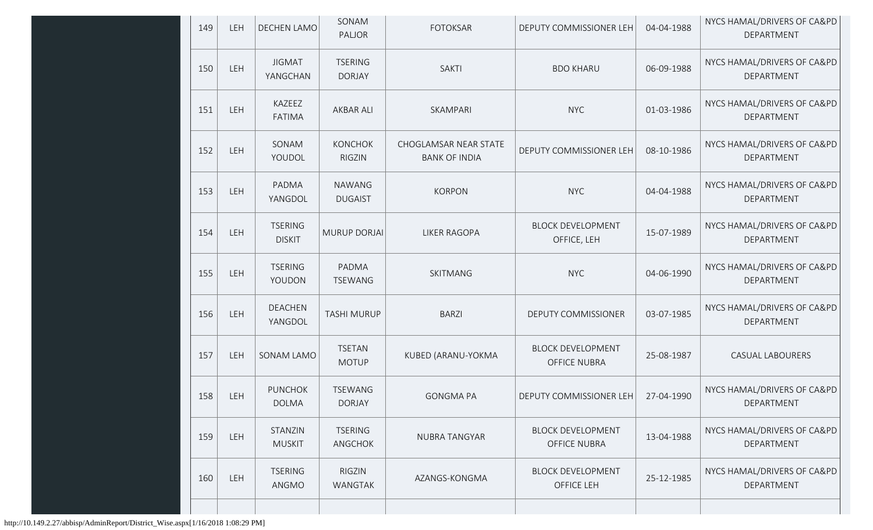| 149 | LEH | DECHEN LAMO                     | SONAM<br>PALJOR                 | <b>FOTOKSAR</b>                               | DEPUTY COMMISSIONER LEH                         | 04-04-1988 | NYCS HAMAL/DRIVERS OF CA&PD<br>DEPARTMENT |
|-----|-----|---------------------------------|---------------------------------|-----------------------------------------------|-------------------------------------------------|------------|-------------------------------------------|
| 150 | LEH | <b>JIGMAT</b><br>YANGCHAN       | <b>TSERING</b><br><b>DORJAY</b> | <b>SAKTI</b>                                  | <b>BDO KHARU</b>                                | 06-09-1988 | NYCS HAMAL/DRIVERS OF CA&PD<br>DEPARTMENT |
| 151 | LEH | KAZEEZ<br><b>FATIMA</b>         | <b>AKBAR ALI</b>                | SKAMPARI                                      | <b>NYC</b>                                      | 01-03-1986 | NYCS HAMAL/DRIVERS OF CA&PD<br>DEPARTMENT |
| 152 | LEH | SONAM<br>YOUDOL                 | <b>KONCHOK</b><br><b>RIGZIN</b> | CHOGLAMSAR NEAR STATE<br><b>BANK OF INDIA</b> | DEPUTY COMMISSIONER LEH                         | 08-10-1986 | NYCS HAMAL/DRIVERS OF CA&PD<br>DEPARTMENT |
| 153 | LEH | PADMA<br>YANGDOL                | <b>NAWANG</b><br><b>DUGAIST</b> | <b>KORPON</b>                                 | <b>NYC</b>                                      | 04-04-1988 | NYCS HAMAL/DRIVERS OF CA&PD<br>DEPARTMENT |
| 154 | LEH | <b>TSERING</b><br><b>DISKIT</b> | MURUP DORJAI                    | <b>LIKER RAGOPA</b>                           | <b>BLOCK DEVELOPMENT</b><br>OFFICE, LEH         | 15-07-1989 | NYCS HAMAL/DRIVERS OF CA&PD<br>DEPARTMENT |
| 155 | LEH | <b>TSERING</b><br>YOUDON        | PADMA<br><b>TSEWANG</b>         | SKITMANG                                      | <b>NYC</b>                                      | 04-06-1990 | NYCS HAMAL/DRIVERS OF CA&PD<br>DEPARTMENT |
| 156 | LEH | <b>DEACHEN</b><br>YANGDOL       | <b>TASHI MURUP</b>              | <b>BARZI</b>                                  | DEPUTY COMMISSIONER                             | 03-07-1985 | NYCS HAMAL/DRIVERS OF CA&PD<br>DEPARTMENT |
| 157 | LEH | SONAM LAMO                      | <b>TSETAN</b><br><b>MOTUP</b>   | KUBED (ARANU-YOKMA                            | <b>BLOCK DEVELOPMENT</b><br><b>OFFICE NUBRA</b> | 25-08-1987 | CASUAL LABOURERS                          |
| 158 | LEH | <b>PUNCHOK</b><br><b>DOLMA</b>  | <b>TSEWANG</b><br><b>DORJAY</b> | <b>GONGMA PA</b>                              | DEPUTY COMMISSIONER LEH                         | 27-04-1990 | NYCS HAMAL/DRIVERS OF CA&PD<br>DEPARTMENT |
| 159 | LEH | STANZIN<br><b>MUSKIT</b>        | <b>TSERING</b><br>ANGCHOK       | NUBRA TANGYAR                                 | <b>BLOCK DEVELOPMENT</b><br><b>OFFICE NUBRA</b> | 13-04-1988 | NYCS HAMAL/DRIVERS OF CA&PD<br>DEPARTMENT |
| 160 | LEH | <b>TSERING</b><br>ANGMO         | RIGZIN<br>WANGTAK               | AZANGS-KONGMA                                 | <b>BLOCK DEVELOPMENT</b><br>OFFICE LEH          | 25-12-1985 | NYCS HAMAL/DRIVERS OF CA&PD<br>DEPARTMENT |
|     |     |                                 |                                 |                                               |                                                 |            |                                           |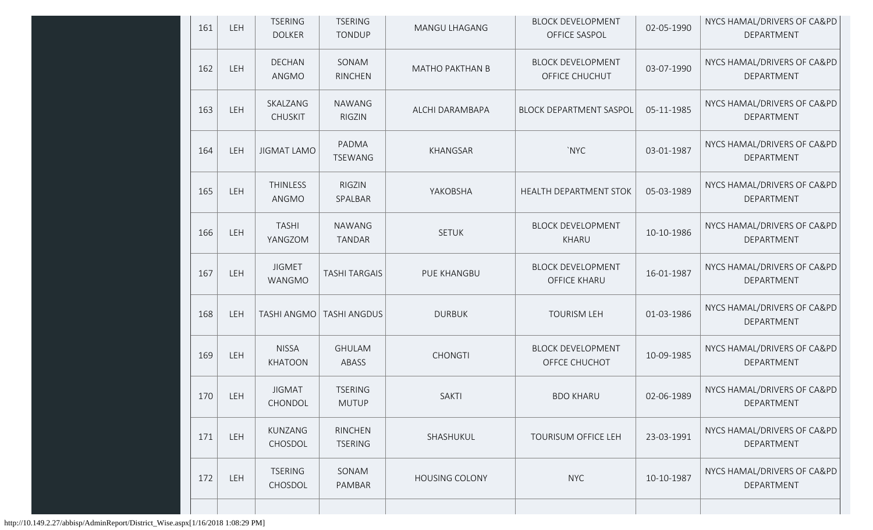| 161<br>LEH | <b>TSERING</b><br><b>DOLKER</b> | <b>TSERING</b><br><b>TONDUP</b>  | MANGU LHAGANG          | <b>BLOCK DEVELOPMENT</b><br>OFFICE SASPOL       | 02-05-1990 | NYCS HAMAL/DRIVERS OF CA&PD<br>DEPARTMENT |
|------------|---------------------------------|----------------------------------|------------------------|-------------------------------------------------|------------|-------------------------------------------|
| 162<br>LEH | <b>DECHAN</b><br>ANGMO          | SONAM<br><b>RINCHEN</b>          | <b>MATHO PAKTHAN B</b> | <b>BLOCK DEVELOPMENT</b><br>OFFICE CHUCHUT      | 03-07-1990 | NYCS HAMAL/DRIVERS OF CA&PD<br>DEPARTMENT |
| LEH<br>163 | SKALZANG<br><b>CHUSKIT</b>      | <b>NAWANG</b><br><b>RIGZIN</b>   | ALCHI DARAMBAPA        | <b>BLOCK DEPARTMENT SASPOL</b>                  | 05-11-1985 | NYCS HAMAL/DRIVERS OF CA&PD<br>DEPARTMENT |
| LEH<br>164 | <b>JIGMAT LAMO</b>              | PADMA<br><b>TSEWANG</b>          | <b>KHANGSAR</b>        | `NYC                                            | 03-01-1987 | NYCS HAMAL/DRIVERS OF CA&PD<br>DEPARTMENT |
| 165<br>LEH | <b>THINLESS</b><br>ANGMO        | <b>RIGZIN</b><br>SPALBAR         | YAKOBSHA               | <b>HEALTH DEPARTMENT STOK</b>                   | 05-03-1989 | NYCS HAMAL/DRIVERS OF CA&PD<br>DEPARTMENT |
| 166<br>LEH | <b>TASHI</b><br>YANGZOM         | <b>NAWANG</b><br><b>TANDAR</b>   | <b>SETUK</b>           | <b>BLOCK DEVELOPMENT</b><br>KHARU               | 10-10-1986 | NYCS HAMAL/DRIVERS OF CA&PD<br>DEPARTMENT |
| 167<br>LEH | <b>JIGMET</b><br>WANGMO         | <b>TASHI TARGAIS</b>             | PUE KHANGBU            | <b>BLOCK DEVELOPMENT</b><br><b>OFFICE KHARU</b> | 16-01-1987 | NYCS HAMAL/DRIVERS OF CA&PD<br>DEPARTMENT |
| 168<br>LEH | <b>TASHI ANGMO</b>              | <b>TASHI ANGDUS</b>              | <b>DURBUK</b>          | <b>TOURISM LEH</b>                              | 01-03-1986 | NYCS HAMAL/DRIVERS OF CA&PD<br>DEPARTMENT |
| 169<br>LEH | <b>NISSA</b><br>KHATOON         | <b>GHULAM</b><br>ABASS           | <b>CHONGTI</b>         | <b>BLOCK DEVELOPMENT</b><br>OFFCE CHUCHOT       | 10-09-1985 | NYCS HAMAL/DRIVERS OF CA&PD<br>DEPARTMENT |
| 170<br>LEH | <b>JIGMAT</b><br>CHONDOL        | <b>TSERING</b><br><b>MUTUP</b>   | <b>SAKTI</b>           | <b>BDO KHARU</b>                                | 02-06-1989 | NYCS HAMAL/DRIVERS OF CA&PD<br>DEPARTMENT |
| 171<br>LEH | KUNZANG<br>CHOSDOL              | <b>RINCHEN</b><br><b>TSERING</b> | SHASHUKUL              | TOURISUM OFFICE LEH                             | 23-03-1991 | NYCS HAMAL/DRIVERS OF CA&PD<br>DEPARTMENT |
| LEH<br>172 | <b>TSERING</b><br>CHOSDOL       | SONAM<br>PAMBAR                  | <b>HOUSING COLONY</b>  | <b>NYC</b>                                      | 10-10-1987 | NYCS HAMAL/DRIVERS OF CA&PD<br>DEPARTMENT |
|            |                                 |                                  |                        |                                                 |            |                                           |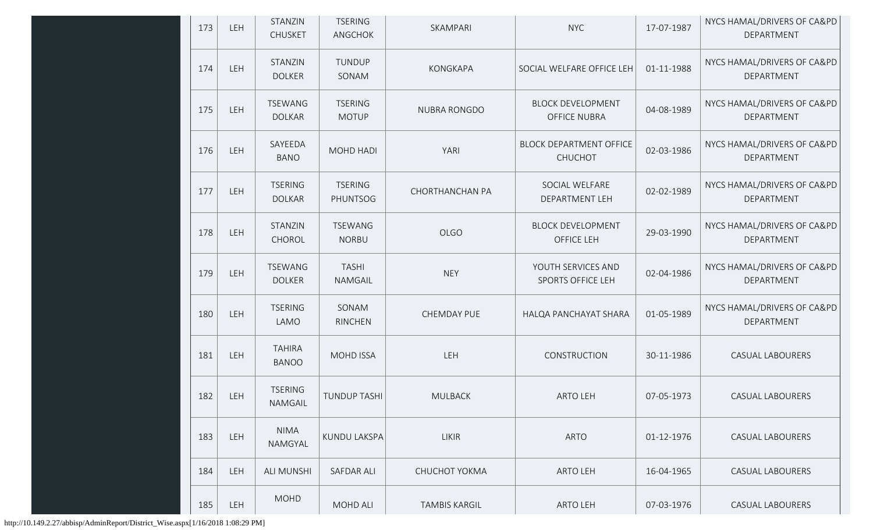| 173 | LEH | STANZIN<br><b>CHUSKET</b>       | <b>TSERING</b><br>ANGCHOK      | SKAMPARI               | <b>NYC</b>                                       | 17-07-1987 | NYCS HAMAL/DRIVERS OF CA&PD<br>DEPARTMENT |
|-----|-----|---------------------------------|--------------------------------|------------------------|--------------------------------------------------|------------|-------------------------------------------|
| 174 | LEH | STANZIN<br><b>DOLKER</b>        | TUNDUP<br>SONAM                | KONGKAPA               | SOCIAL WELFARE OFFICE LEH                        | 01-11-1988 | NYCS HAMAL/DRIVERS OF CA&PD<br>DEPARTMENT |
| 175 | LEH | TSEWANG<br><b>DOLKAR</b>        | <b>TSERING</b><br><b>MOTUP</b> | <b>NUBRA RONGDO</b>    | <b>BLOCK DEVELOPMENT</b><br><b>OFFICE NUBRA</b>  | 04-08-1989 | NYCS HAMAL/DRIVERS OF CA&PD<br>DEPARTMENT |
| 176 | LEH | SAYEEDA<br><b>BANO</b>          | MOHD HADI                      | YARI                   | <b>BLOCK DEPARTMENT OFFICE</b><br><b>CHUCHOT</b> | 02-03-1986 | NYCS HAMAL/DRIVERS OF CA&PD<br>DEPARTMENT |
| 177 | LEH | <b>TSERING</b><br><b>DOLKAR</b> | <b>TSERING</b><br>PHUNTSOG     | <b>CHORTHANCHAN PA</b> | SOCIAL WELFARE<br>DEPARTMENT LEH                 | 02-02-1989 | NYCS HAMAL/DRIVERS OF CA&PD<br>DEPARTMENT |
| 178 | LEH | STANZIN<br>CHOROL               | <b>TSEWANG</b><br><b>NORBU</b> | <b>OLGO</b>            | <b>BLOCK DEVELOPMENT</b><br>OFFICE LEH           | 29-03-1990 | NYCS HAMAL/DRIVERS OF CA&PD<br>DEPARTMENT |
| 179 | LEH | <b>TSEWANG</b><br><b>DOLKER</b> | <b>TASHI</b><br>NAMGAIL        | <b>NEY</b>             | YOUTH SERVICES AND<br>SPORTS OFFICE LEH          | 02-04-1986 | NYCS HAMAL/DRIVERS OF CA&PD<br>DEPARTMENT |
| 180 | LEH | <b>TSERING</b><br>LAMO          | SONAM<br>RINCHEN               | CHEMDAY PUE            | HALQA PANCHAYAT SHARA                            | 01-05-1989 | NYCS HAMAL/DRIVERS OF CA&PD<br>DEPARTMENT |
| 181 | LEH | <b>TAHIRA</b><br><b>BANOO</b>   | <b>MOHD ISSA</b>               | LEH                    | CONSTRUCTION                                     | 30-11-1986 | <b>CASUAL LABOURERS</b>                   |
| 182 | LEH | <b>TSERING</b><br>NAMGAIL       | <b>TUNDUP TASHI</b>            | <b>MULBACK</b>         | <b>ARTO LEH</b>                                  | 07-05-1973 | <b>CASUAL LABOURERS</b>                   |
| 183 | LEH | <b>NIMA</b><br>NAMGYAL          | KUNDU LAKSPA                   | <b>LIKIR</b>           | <b>ARTO</b>                                      | 01-12-1976 | CASUAL LABOURERS                          |
| 184 | LEH | <b>ALI MUNSHI</b>               | <b>SAFDAR ALI</b>              | CHUCHOT YOKMA          | <b>ARTO LEH</b>                                  | 16-04-1965 | <b>CASUAL LABOURERS</b>                   |
| 185 | LEH | <b>MOHD</b>                     | MOHD ALI                       | TAMBIS KARGIL          | ARTO LEH                                         | 07-03-1976 | CASUAL LABOURERS                          |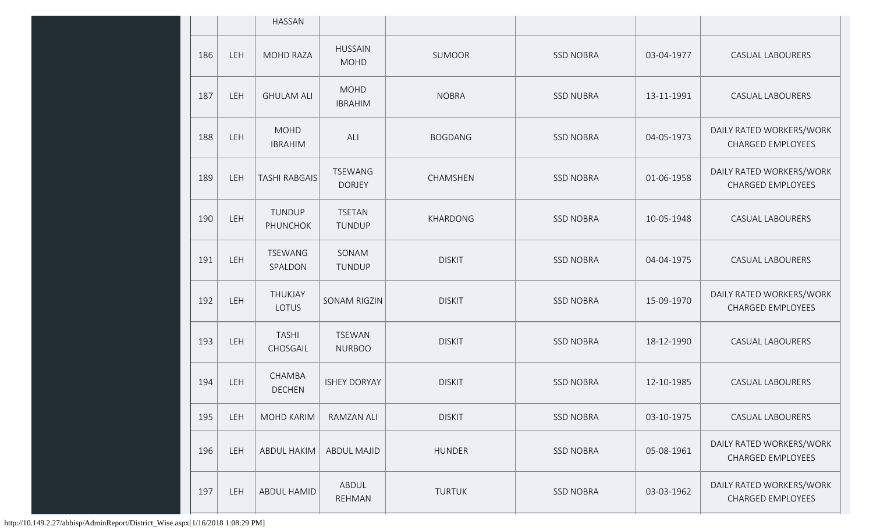|     |            | <b>HASSAN</b>                 |                                 |                |                  |            |                                                      |
|-----|------------|-------------------------------|---------------------------------|----------------|------------------|------------|------------------------------------------------------|
| 186 | LEH        | <b>MOHD RAZA</b>              | <b>HUSSAIN</b><br><b>MOHD</b>   | <b>SUMOOR</b>  | <b>SSD NOBRA</b> | 03-04-1977 | <b>CASUAL LABOURERS</b>                              |
| 187 | LEH        | <b>GHULAM ALI</b>             | <b>MOHD</b><br><b>IBRAHIM</b>   | <b>NOBRA</b>   | <b>SSD NUBRA</b> | 13-11-1991 | <b>CASUAL LABOURERS</b>                              |
| 188 | <b>LEH</b> | <b>MOHD</b><br><b>IBRAHIM</b> | ALI                             | <b>BOGDANG</b> | <b>SSD NOBRA</b> | 04-05-1973 | DAILY RATED WORKERS/WORK<br>CHARGED EMPLOYEES        |
| 189 | LEH        | <b>TASHI RABGAIS</b>          | <b>TSEWANG</b><br><b>DORJEY</b> | CHAMSHEN       | <b>SSD NOBRA</b> | 01-06-1958 | DAILY RATED WORKERS/WORK<br><b>CHARGED EMPLOYEES</b> |
| 190 | LEH        | TUNDUP<br>PHUNCHOK            | <b>TSETAN</b><br>TUNDUP         | KHARDONG       | <b>SSD NOBRA</b> | 10-05-1948 | CASUAL LABOURERS                                     |
| 191 | LEH        | <b>TSEWANG</b><br>SPALDON     | SONAM<br>TUNDUP                 | <b>DISKIT</b>  | <b>SSD NOBRA</b> | 04-04-1975 | CASUAL LABOURERS                                     |
| 192 | LEH        | THUKJAY<br>LOTUS              | SONAM RIGZIN                    | <b>DISKIT</b>  | <b>SSD NOBRA</b> | 15-09-1970 | DAILY RATED WORKERS/WORK<br><b>CHARGED EMPLOYEES</b> |
| 193 | LEH        | <b>TASHI</b><br>CHOSGAIL      | <b>TSEWAN</b><br><b>NURBOO</b>  | <b>DISKIT</b>  | <b>SSD NOBRA</b> | 18-12-1990 | CASUAL LABOURERS                                     |
| 194 | LEH        | CHAMBA<br><b>DECHEN</b>       | <b>ISHEY DORYAY</b>             | <b>DISKIT</b>  | <b>SSD NOBRA</b> | 12-10-1985 | CASUAL LABOURERS                                     |
| 195 | LEH        | <b>MOHD KARIM</b>             | <b>RAMZAN ALI</b>               | <b>DISKIT</b>  | <b>SSD NOBRA</b> | 03-10-1975 | <b>CASUAL LABOURERS</b>                              |
| 196 | LEH        | <b>ABDUL HAKIM</b>            | <b>ABDUL MAJID</b>              | <b>HUNDER</b>  | <b>SSD NOBRA</b> | 05-08-1961 | DAILY RATED WORKERS/WORK<br>CHARGED EMPLOYEES        |
| 197 | LEH        | <b>ABDUL HAMID</b>            | ABDUL<br><b>REHMAN</b>          | <b>TURTUK</b>  | <b>SSD NOBRA</b> | 03-03-1962 | DAILY RATED WORKERS/WORK<br>CHARGED EMPLOYEES        |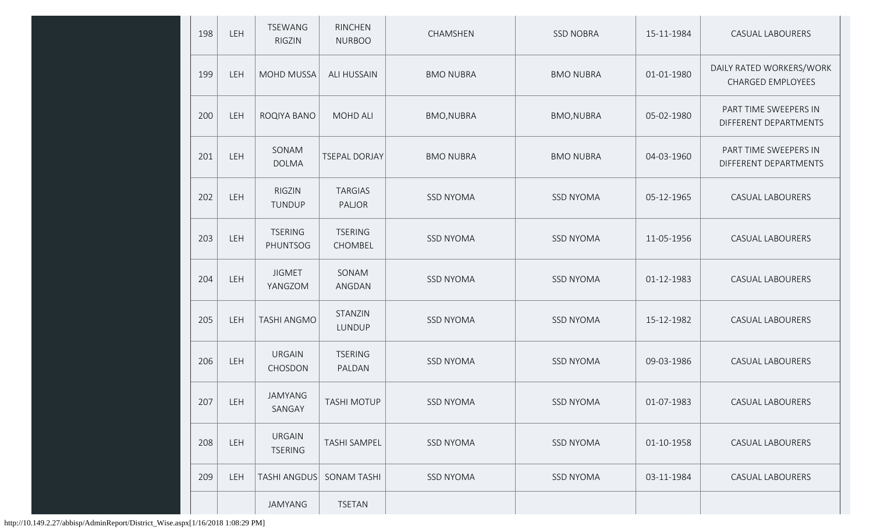| 198 | LEH | <b>TSEWANG</b><br><b>RIGZIN</b> | <b>RINCHEN</b><br><b>NURBOO</b> | CHAMSHEN          | <b>SSD NOBRA</b>  | 15-11-1984 | <b>CASUAL LABOURERS</b>                              |
|-----|-----|---------------------------------|---------------------------------|-------------------|-------------------|------------|------------------------------------------------------|
| 199 | LEH | MOHD MUSSA                      | <b>ALI HUSSAIN</b>              | <b>BMO NUBRA</b>  | <b>BMO NUBRA</b>  | 01-01-1980 | DAILY RATED WORKERS/WORK<br><b>CHARGED EMPLOYEES</b> |
| 200 | LEH | ROQIYA BANO                     | <b>MOHD ALI</b>                 | <b>BMO, NUBRA</b> | <b>BMO, NUBRA</b> | 05-02-1980 | PART TIME SWEEPERS IN<br>DIFFERENT DEPARTMENTS       |
| 201 | LEH | SONAM<br><b>DOLMA</b>           | <b>TSEPAL DORJAY</b>            | <b>BMO NUBRA</b>  | <b>BMO NUBRA</b>  | 04-03-1960 | PART TIME SWEEPERS IN<br>DIFFERENT DEPARTMENTS       |
| 202 | LEH | <b>RIGZIN</b><br>TUNDUP         | <b>TARGIAS</b><br>PALJOR        | <b>SSD NYOMA</b>  | <b>SSD NYOMA</b>  | 05-12-1965 | CASUAL LABOURERS                                     |
| 203 | LEH | <b>TSERING</b><br>PHUNTSOG      | <b>TSERING</b><br>CHOMBEL       | <b>SSD NYOMA</b>  | <b>SSD NYOMA</b>  | 11-05-1956 | CASUAL LABOURERS                                     |
| 204 | LEH | <b>JIGMET</b><br>YANGZOM        | SONAM<br>ANGDAN                 | <b>SSD NYOMA</b>  | <b>SSD NYOMA</b>  | 01-12-1983 | CASUAL LABOURERS                                     |
| 205 | LEH | <b>TASHI ANGMO</b>              | STANZIN<br>LUNDUP               | <b>SSD NYOMA</b>  | <b>SSD NYOMA</b>  | 15-12-1982 | CASUAL LABOURERS                                     |
| 206 | LEH | <b>URGAIN</b><br>CHOSDON        | <b>TSERING</b><br>PALDAN        | <b>SSD NYOMA</b>  | <b>SSD NYOMA</b>  | 09-03-1986 | CASUAL LABOURERS                                     |
| 207 | LEH | JAMYANG<br>SANGAY               | <b>TASHI MOTUP</b>              | <b>SSD NYOMA</b>  | <b>SSD NYOMA</b>  | 01-07-1983 | CASUAL LABOURERS                                     |
| 208 | LEH | <b>URGAIN</b><br><b>TSERING</b> | <b>TASHI SAMPEL</b>             | <b>SSD NYOMA</b>  | <b>SSD NYOMA</b>  | 01-10-1958 | CASUAL LABOURERS                                     |
| 209 | LEH | <b>TASHI ANGDUS</b>             | <b>SONAM TASHI</b>              | <b>SSD NYOMA</b>  | <b>SSD NYOMA</b>  | 03-11-1984 | CASUAL LABOURERS                                     |
|     |     | JAMYANG                         | <b>TSETAN</b>                   |                   |                   |            |                                                      |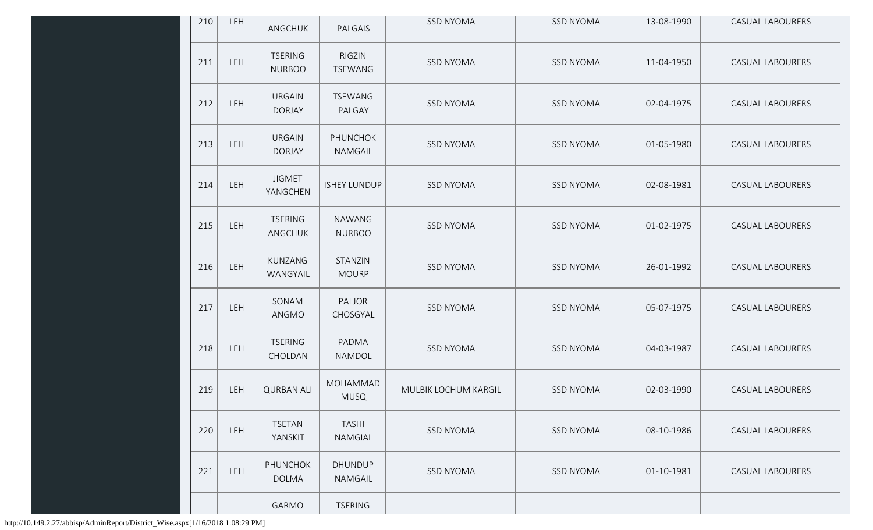| 210 | LEH        | ANGCHUK                         | PALGAIS                        | <b>SSD NYOMA</b>     | <b>SSD NYOMA</b> | 13-08-1990 | <b>CASUAL LABOURERS</b> |
|-----|------------|---------------------------------|--------------------------------|----------------------|------------------|------------|-------------------------|
| 211 | <b>LEH</b> | <b>TSERING</b><br><b>NURBOO</b> | RIGZIN<br><b>TSEWANG</b>       | <b>SSD NYOMA</b>     | <b>SSD NYOMA</b> | 11-04-1950 | CASUAL LABOURERS        |
| 212 | LEH        | <b>URGAIN</b><br><b>DORJAY</b>  | <b>TSEWANG</b><br>PALGAY       | <b>SSD NYOMA</b>     | <b>SSD NYOMA</b> | 02-04-1975 | <b>CASUAL LABOURERS</b> |
| 213 | LEH        | <b>URGAIN</b><br><b>DORJAY</b>  | PHUNCHOK<br>NAMGAIL            | <b>SSD NYOMA</b>     | <b>SSD NYOMA</b> | 01-05-1980 | <b>CASUAL LABOURERS</b> |
| 214 | <b>LEH</b> | <b>JIGMET</b><br>YANGCHEN       | <b>ISHEY LUNDUP</b>            | <b>SSD NYOMA</b>     | <b>SSD NYOMA</b> | 02-08-1981 | <b>CASUAL LABOURERS</b> |
| 215 | <b>LEH</b> | <b>TSERING</b><br>ANGCHUK       | <b>NAWANG</b><br><b>NURBOO</b> | <b>SSD NYOMA</b>     | <b>SSD NYOMA</b> | 01-02-1975 | <b>CASUAL LABOURERS</b> |
| 216 | <b>LEH</b> | KUNZANG<br>WANGYAIL             | STANZIN<br><b>MOURP</b>        | <b>SSD NYOMA</b>     | <b>SSD NYOMA</b> | 26-01-1992 | CASUAL LABOURERS        |
| 217 | <b>LEH</b> | SONAM<br>ANGMO                  | PALJOR<br>CHOSGYAL             | <b>SSD NYOMA</b>     | <b>SSD NYOMA</b> | 05-07-1975 | <b>CASUAL LABOURERS</b> |
| 218 | <b>LEH</b> | <b>TSERING</b><br>CHOLDAN       | PADMA<br>NAMDOL                | <b>SSD NYOMA</b>     | <b>SSD NYOMA</b> | 04-03-1987 | <b>CASUAL LABOURERS</b> |
| 219 | LEH        | <b>QURBAN ALI</b>               | MOHAMMAD<br><b>MUSQ</b>        | MULBIK LOCHUM KARGIL | <b>SSD NYOMA</b> | 02-03-1990 | <b>CASUAL LABOURERS</b> |
| 220 | <b>LEH</b> | <b>TSETAN</b><br>YANSKIT        | <b>TASHI</b><br>NAMGIAL        | <b>SSD NYOMA</b>     | <b>SSD NYOMA</b> | 08-10-1986 | CASUAL LABOURERS        |
| 221 | <b>LEH</b> | <b>PHUNCHOK</b><br><b>DOLMA</b> | <b>DHUNDUP</b><br>NAMGAIL      | <b>SSD NYOMA</b>     | <b>SSD NYOMA</b> | 01-10-1981 | <b>CASUAL LABOURERS</b> |
|     |            | <b>GARMO</b>                    | <b>TSERING</b>                 |                      |                  |            |                         |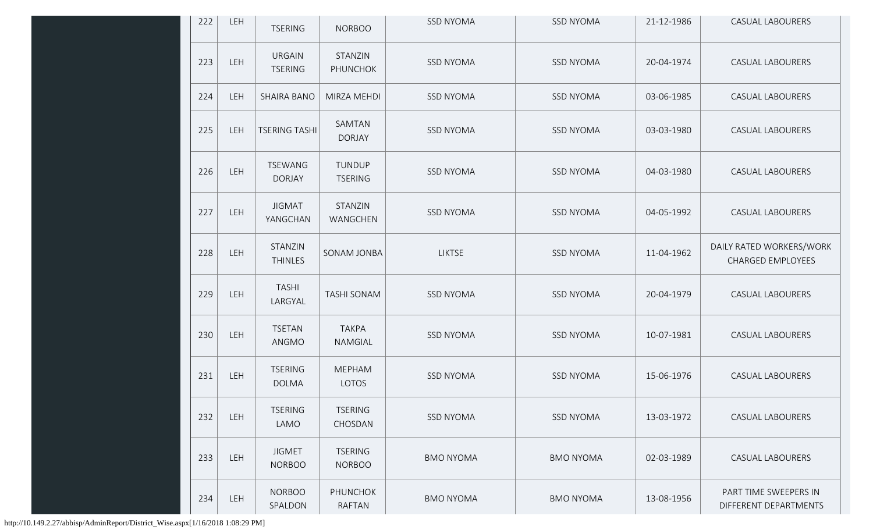| 222 | LEH        | <b>TSERING</b>                  | <b>NORBOO</b>                   | <b>SSD NYOMA</b> | <b>SSD NYOMA</b> | 21-12-1986 | <b>CASUAL LABOURERS</b>                              |
|-----|------------|---------------------------------|---------------------------------|------------------|------------------|------------|------------------------------------------------------|
| 223 | LEH        | <b>URGAIN</b><br><b>TSERING</b> | STANZIN<br>PHUNCHOK             | <b>SSD NYOMA</b> | <b>SSD NYOMA</b> | 20-04-1974 | CASUAL LABOURERS                                     |
| 224 | LEH        | <b>SHAIRA BANO</b>              | MIRZA MEHDI                     | <b>SSD NYOMA</b> | <b>SSD NYOMA</b> | 03-06-1985 | <b>CASUAL LABOURERS</b>                              |
| 225 | LEH        | <b>TSERING TASHI</b>            | SAMTAN<br><b>DORJAY</b>         | <b>SSD NYOMA</b> | <b>SSD NYOMA</b> | 03-03-1980 | CASUAL LABOURERS                                     |
| 226 | LEH        | TSEWANG<br><b>DORJAY</b>        | TUNDUP<br><b>TSERING</b>        | <b>SSD NYOMA</b> | <b>SSD NYOMA</b> | 04-03-1980 | CASUAL LABOURERS                                     |
| 227 | LEH        | <b>JIGMAT</b><br>YANGCHAN       | STANZIN<br>WANGCHEN             | <b>SSD NYOMA</b> | <b>SSD NYOMA</b> | 04-05-1992 | CASUAL LABOURERS                                     |
| 228 | LEH        | STANZIN<br><b>THINLES</b>       | SONAM JONBA                     | <b>LIKTSE</b>    | <b>SSD NYOMA</b> | 11-04-1962 | DAILY RATED WORKERS/WORK<br><b>CHARGED EMPLOYEES</b> |
| 229 | LEH        | <b>TASHI</b><br>LARGYAL         | <b>TASHI SONAM</b>              | <b>SSD NYOMA</b> | <b>SSD NYOMA</b> | 20-04-1979 | CASUAL LABOURERS                                     |
| 230 | LEH        | <b>TSETAN</b><br>ANGMO          | <b>TAKPA</b><br>NAMGIAL         | <b>SSD NYOMA</b> | <b>SSD NYOMA</b> | 10-07-1981 | CASUAL LABOURERS                                     |
| 231 | LEH        | <b>TSERING</b><br><b>DOLMA</b>  | <b>MEPHAM</b><br>LOTOS          | <b>SSD NYOMA</b> | <b>SSD NYOMA</b> | 15-06-1976 | CASUAL LABOURERS                                     |
| 232 | LEH        | <b>TSERING</b><br>LAMO          | <b>TSERING</b><br>CHOSDAN       | <b>SSD NYOMA</b> | <b>SSD NYOMA</b> | 13-03-1972 | <b>CASUAL LABOURERS</b>                              |
| 233 | LEH        | <b>JIGMET</b><br><b>NORBOO</b>  | <b>TSERING</b><br><b>NORBOO</b> | <b>BMO NYOMA</b> | <b>BMO NYOMA</b> | 02-03-1989 | <b>CASUAL LABOURERS</b>                              |
| 234 | <b>LEH</b> | <b>NORBOO</b><br>SPALDON        | <b>PHUNCHOK</b><br>RAFTAN       | <b>BMO NYOMA</b> | <b>BMO NYOMA</b> | 13-08-1956 | PART TIME SWEEPERS IN<br>DIFFERENT DEPARTMENTS       |